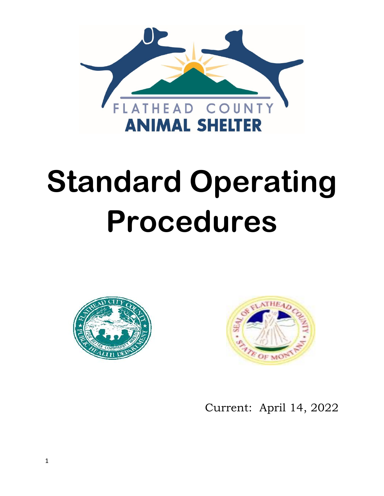

# **Standard Operating Procedures**





Current: April 14, 2022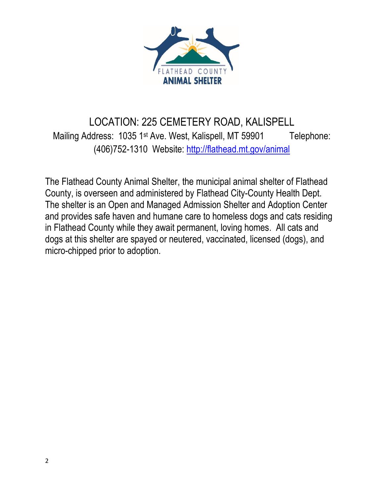

## LOCATION: 225 CEMETERY ROAD, KALISPELL Mailing Address: 1035 1<sup>st</sup> Ave. West, Kalispell, MT 59901 Telephone: (406)752-1310 Website:<http://flathead.mt.gov/animal>

The Flathead County Animal Shelter, the municipal animal shelter of Flathead County, is overseen and administered by Flathead City-County Health Dept. The shelter is an Open and Managed Admission Shelter and Adoption Center and provides safe haven and humane care to homeless dogs and cats residing in Flathead County while they await permanent, loving homes. All cats and dogs at this shelter are spayed or neutered, vaccinated, licensed (dogs), and micro-chipped prior to adoption.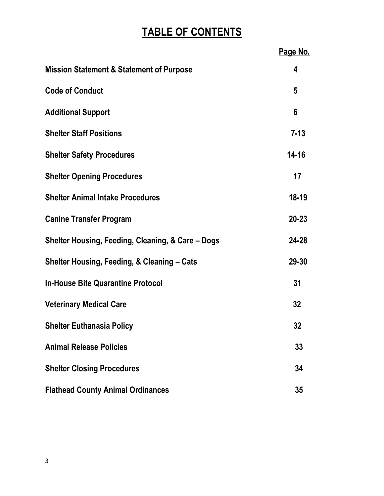# **TABLE OF CONTENTS**

|                                                     | Page No.  |
|-----------------------------------------------------|-----------|
| <b>Mission Statement &amp; Statement of Purpose</b> | 4         |
| <b>Code of Conduct</b>                              | 5         |
| <b>Additional Support</b>                           | 6         |
| <b>Shelter Staff Positions</b>                      | $7 - 13$  |
| <b>Shelter Safety Procedures</b>                    | $14 - 16$ |
| <b>Shelter Opening Procedures</b>                   | 17        |
| <b>Shelter Animal Intake Procedures</b>             | 18-19     |
| <b>Canine Transfer Program</b>                      | $20 - 23$ |
| Shelter Housing, Feeding, Cleaning, & Care – Dogs   | $24 - 28$ |
| Shelter Housing, Feeding, & Cleaning - Cats         | 29-30     |
| <b>In-House Bite Quarantine Protocol</b>            | 31        |
| <b>Veterinary Medical Care</b>                      | 32        |
| <b>Shelter Euthanasia Policy</b>                    | 32        |
| <b>Animal Release Policies</b>                      | 33        |
| <b>Shelter Closing Procedures</b>                   | 34        |
| <b>Flathead County Animal Ordinances</b>            | 35        |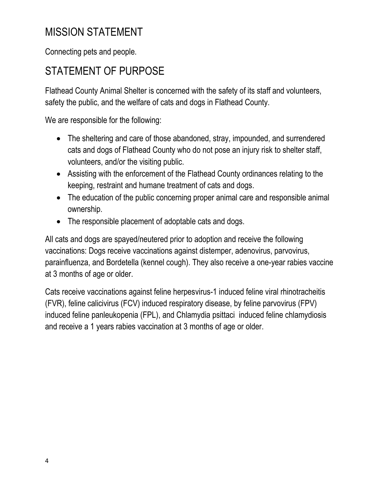# MISSION STATEMENT

Connecting pets and people.

## STATEMENT OF PURPOSE

Flathead County Animal Shelter is concerned with the safety of its staff and volunteers, safety the public, and the welfare of cats and dogs in Flathead County.

We are responsible for the following:

- The sheltering and care of those abandoned, stray, impounded, and surrendered cats and dogs of Flathead County who do not pose an injury risk to shelter staff, volunteers, and/or the visiting public.
- Assisting with the enforcement of the Flathead County ordinances relating to the keeping, restraint and humane treatment of cats and dogs.
- The education of the public concerning proper animal care and responsible animal ownership.
- The responsible placement of adoptable cats and dogs.

All cats and dogs are spayed/neutered prior to adoption and receive the following vaccinations: Dogs receive vaccinations against distemper, adenovirus, parvovirus, parainfluenza, and Bordetella (kennel cough). They also receive a one-year rabies vaccine at 3 months of age or older.

Cats receive vaccinations against feline herpesvirus-1 induced feline viral rhinotracheitis (FVR), feline calicivirus (FCV) induced respiratory disease, by feline parvovirus (FPV) induced feline panleukopenia (FPL), and Chlamydia psittaci induced feline chlamydiosis and receive a 1 years rabies vaccination at 3 months of age or older.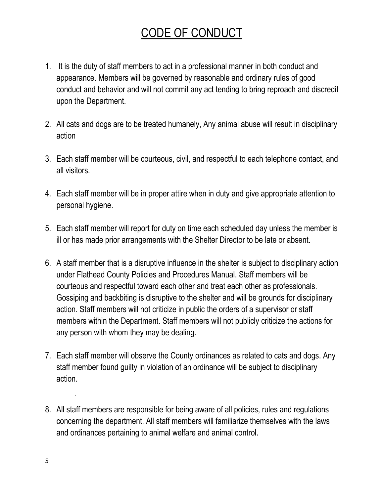# CODE OF CONDUCT

- 1. It is the duty of staff members to act in a professional manner in both conduct and appearance. Members will be governed by reasonable and ordinary rules of good conduct and behavior and will not commit any act tending to bring reproach and discredit upon the Department.
- 2. All cats and dogs are to be treated humanely, Any animal abuse will result in disciplinary action
- 3. Each staff member will be courteous, civil, and respectful to each telephone contact, and all visitors.
- 4. Each staff member will be in proper attire when in duty and give appropriate attention to personal hygiene.
- 5. Each staff member will report for duty on time each scheduled day unless the member is ill or has made prior arrangements with the Shelter Director to be late or absent.
- 6. A staff member that is a disruptive influence in the shelter is subject to disciplinary action under Flathead County Policies and Procedures Manual. Staff members will be courteous and respectful toward each other and treat each other as professionals. Gossiping and backbiting is disruptive to the shelter and will be grounds for disciplinary action. Staff members will not criticize in public the orders of a supervisor or staff members within the Department. Staff members will not publicly criticize the actions for any person with whom they may be dealing.
- 7. Each staff member will observe the County ordinances as related to cats and dogs. Any staff member found guilty in violation of an ordinance will be subject to disciplinary action.
- 8. All staff members are responsible for being aware of all policies, rules and regulations concerning the department. All staff members will familiarize themselves with the laws and ordinances pertaining to animal welfare and animal control.

.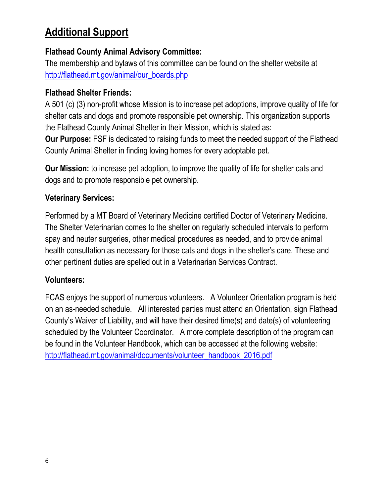# **Additional Support**

#### **Flathead County Animal Advisory Committee:**

The membership and bylaws of this committee can be found on the shelter website at [http://flathead.mt.gov/animal/our\\_boards.php](http://flathead.mt.gov/animal/our_boards.php)

#### **Flathead Shelter Friends:**

A 501 (c) (3) non-profit whose Mission is to increase pet adoptions, improve quality of life for shelter cats and dogs and promote responsible pet ownership. This organization supports the Flathead County Animal Shelter in their Mission, which is stated as:

**Our Purpose:** FSF is dedicated to raising funds to meet the needed support of the Flathead County Animal Shelter in finding loving homes for every adoptable pet.

**Our Mission:** to increase pet adoption, to improve the quality of life for shelter cats and dogs and to promote responsible pet ownership.

#### **Veterinary Services:**

Performed by a MT Board of Veterinary Medicine certified Doctor of Veterinary Medicine. The Shelter Veterinarian comes to the shelter on regularly scheduled intervals to perform spay and neuter surgeries, other medical procedures as needed, and to provide animal health consultation as necessary for those cats and dogs in the shelter's care. These and other pertinent duties are spelled out in a Veterinarian Services Contract.

#### **Volunteers:**

FCAS enjoys the support of numerous volunteers. A Volunteer Orientation program is held on an as-needed schedule. All interested parties must attend an Orientation, sign Flathead County's Waiver of Liability, and will have their desired time(s) and date(s) of volunteering scheduled by the Volunteer Coordinator. A more complete description of the program can be found in the Volunteer Handbook, which can be accessed at the following website: [http://flathead.mt.gov/animal/documents/volunteer\\_handbook\\_2016.pdf](http://flathead.mt.gov/animal/documents/volunteer_handbook_2016.pdf)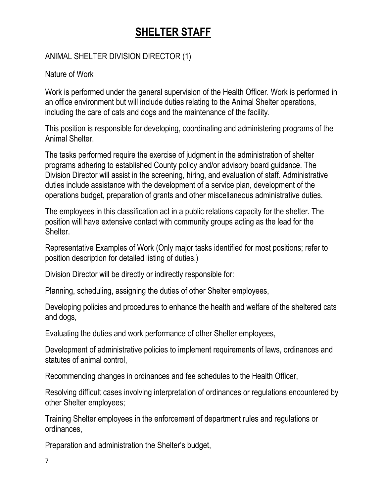# **SHELTER STAFF**

#### ANIMAL SHELTER DIVISION DIRECTOR (1)

Nature of Work

Work is performed under the general supervision of the Health Officer. Work is performed in an office environment but will include duties relating to the Animal Shelter operations, including the care of cats and dogs and the maintenance of the facility.

This position is responsible for developing, coordinating and administering programs of the Animal Shelter.

The tasks performed require the exercise of judgment in the administration of shelter programs adhering to established County policy and/or advisory board guidance. The Division Director will assist in the screening, hiring, and evaluation of staff. Administrative duties include assistance with the development of a service plan, development of the operations budget, preparation of grants and other miscellaneous administrative duties.

The employees in this classification act in a public relations capacity for the shelter. The position will have extensive contact with community groups acting as the lead for the Shelter.

Representative Examples of Work (Only major tasks identified for most positions; refer to position description for detailed listing of duties.)

Division Director will be directly or indirectly responsible for:

Planning, scheduling, assigning the duties of other Shelter employees,

Developing policies and procedures to enhance the health and welfare of the sheltered cats and dogs,

Evaluating the duties and work performance of other Shelter employees,

Development of administrative policies to implement requirements of laws, ordinances and statutes of animal control,

Recommending changes in ordinances and fee schedules to the Health Officer,

Resolving difficult cases involving interpretation of ordinances or regulations encountered by other Shelter employees;

Training Shelter employees in the enforcement of department rules and regulations or ordinances,

Preparation and administration the Shelter's budget,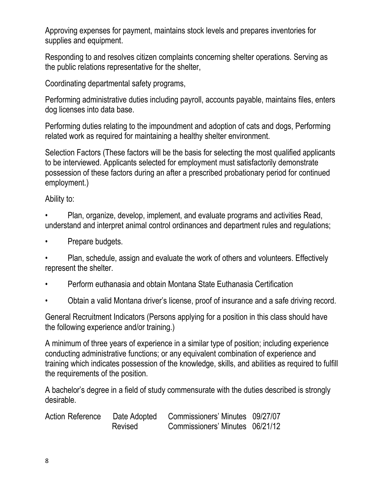Approving expenses for payment, maintains stock levels and prepares inventories for supplies and equipment.

Responding to and resolves citizen complaints concerning shelter operations. Serving as the public relations representative for the shelter,

Coordinating departmental safety programs,

Performing administrative duties including payroll, accounts payable, maintains files, enters dog licenses into data base.

Performing duties relating to the impoundment and adoption of cats and dogs, Performing related work as required for maintaining a healthy shelter environment.

Selection Factors (These factors will be the basis for selecting the most qualified applicants to be interviewed. Applicants selected for employment must satisfactorily demonstrate possession of these factors during an after a prescribed probationary period for continued employment.)

Ability to:

• Plan, organize, develop, implement, and evaluate programs and activities Read, understand and interpret animal control ordinances and department rules and regulations;

Prepare budgets.

• Plan, schedule, assign and evaluate the work of others and volunteers. Effectively represent the shelter.

- Perform euthanasia and obtain Montana State Euthanasia Certification
- Obtain a valid Montana driver's license, proof of insurance and a safe driving record.

General Recruitment Indicators (Persons applying for a position in this class should have the following experience and/or training.)

A minimum of three years of experience in a similar type of position; including experience conducting administrative functions; or any equivalent combination of experience and training which indicates possession of the knowledge, skills, and abilities as required to fulfill the requirements of the position.

A bachelor's degree in a field of study commensurate with the duties described is strongly desirable.

| <b>Action Reference</b> | Date Adopted | Commissioners' Minutes 09/27/07 |  |
|-------------------------|--------------|---------------------------------|--|
|                         | Revised      | Commissioners' Minutes 06/21/12 |  |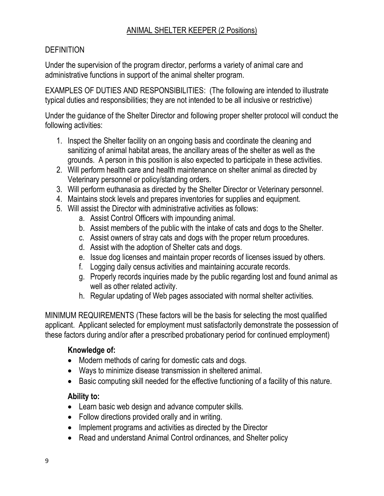#### ANIMAL SHELTER KEEPER (2 Positions)

#### **DEFINITION**

Under the supervision of the program director, performs a variety of animal care and administrative functions in support of the animal shelter program.

EXAMPLES OF DUTIES AND RESPONSIBILITIES: (The following are intended to illustrate typical duties and responsibilities; they are not intended to be all inclusive or restrictive)

Under the guidance of the Shelter Director and following proper shelter protocol will conduct the following activities:

- 1. Inspect the Shelter facility on an ongoing basis and coordinate the cleaning and sanitizing of animal habitat areas, the ancillary areas of the shelter as well as the grounds. A person in this position is also expected to participate in these activities.
- 2. Will perform health care and health maintenance on shelter animal as directed by Veterinary personnel or policy/standing orders.
- 3. Will perform euthanasia as directed by the Shelter Director or Veterinary personnel.
- 4. Maintains stock levels and prepares inventories for supplies and equipment.
- 5. Will assist the Director with administrative activities as follows:
	- a. Assist Control Officers with impounding animal.
	- b. Assist members of the public with the intake of cats and dogs to the Shelter.
	- c. Assist owners of stray cats and dogs with the proper return procedures.
	- d. Assist with the adoption of Shelter cats and dogs.
	- e. Issue dog licenses and maintain proper records of licenses issued by others.
	- f. Logging daily census activities and maintaining accurate records.
	- g. Properly records inquiries made by the public regarding lost and found animal as well as other related activity.
	- h. Regular updating of Web pages associated with normal shelter activities.

MINIMUM REQUIREMENTS (These factors will be the basis for selecting the most qualified applicant. Applicant selected for employment must satisfactorily demonstrate the possession of these factors during and/or after a prescribed probationary period for continued employment)

#### **Knowledge of:**

- Modern methods of caring for domestic cats and dogs.
- Ways to minimize disease transmission in sheltered animal.
- Basic computing skill needed for the effective functioning of a facility of this nature.

#### **Ability to:**

- Learn basic web design and advance computer skills.
- Follow directions provided orally and in writing.
- Implement programs and activities as directed by the Director
- Read and understand Animal Control ordinances, and Shelter policy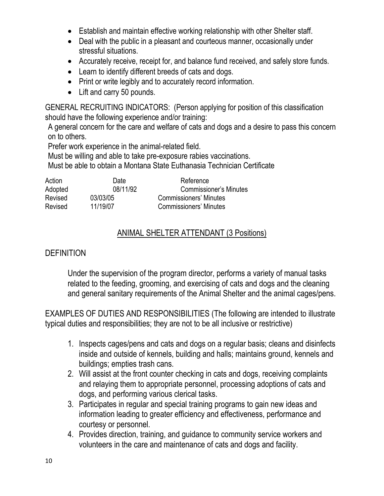- Establish and maintain effective working relationship with other Shelter staff.
- Deal with the public in a pleasant and courteous manner, occasionally under stressful situations.
- Accurately receive, receipt for, and balance fund received, and safely store funds.
- Learn to identify different breeds of cats and dogs.
- Print or write legibly and to accurately record information.
- Lift and carry 50 pounds.

GENERAL RECRUITING INDICATORS: (Person applying for position of this classification should have the following experience and/or training:

A general concern for the care and welfare of cats and dogs and a desire to pass this concern on to others.

Prefer work experience in the animal-related field.

Must be willing and able to take pre-exposure rabies vaccinations.

Must be able to obtain a Montana State Euthanasia Technician Certificate

| Action  | Date     | Reference                     |
|---------|----------|-------------------------------|
| Adopted | 08/11/92 | <b>Commissioner's Minutes</b> |
| Revised | 03/03/05 | <b>Commissioners' Minutes</b> |
| Revised | 11/19/07 | <b>Commissioners' Minutes</b> |

#### ANIMAL SHELTER ATTENDANT (3 Positions)

#### DEFINITION

Under the supervision of the program director, performs a variety of manual tasks related to the feeding, grooming, and exercising of cats and dogs and the cleaning and general sanitary requirements of the Animal Shelter and the animal cages/pens.

EXAMPLES OF DUTIES AND RESPONSIBILITIES (The following are intended to illustrate typical duties and responsibilities; they are not to be all inclusive or restrictive)

- 1. Inspects cages/pens and cats and dogs on a regular basis; cleans and disinfects inside and outside of kennels, building and halls; maintains ground, kennels and buildings; empties trash cans.
- 2. Will assist at the front counter checking in cats and dogs, receiving complaints and relaying them to appropriate personnel, processing adoptions of cats and dogs, and performing various clerical tasks.
- 3. Participates in regular and special training programs to gain new ideas and information leading to greater efficiency and effectiveness, performance and courtesy or personnel.
- 4. Provides direction, training, and guidance to community service workers and volunteers in the care and maintenance of cats and dogs and facility.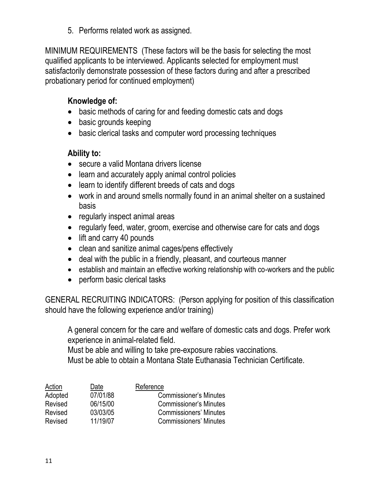5. Performs related work as assigned.

MINIMUM REQUIREMENTS (These factors will be the basis for selecting the most qualified applicants to be interviewed. Applicants selected for employment must satisfactorily demonstrate possession of these factors during and after a prescribed probationary period for continued employment)

#### **Knowledge of:**

- basic methods of caring for and feeding domestic cats and dogs
- basic grounds keeping
- basic clerical tasks and computer word processing techniques

#### **Ability to:**

- secure a valid Montana drivers license
- learn and accurately apply animal control policies
- learn to identify different breeds of cats and dogs
- work in and around smells normally found in an animal shelter on a sustained basis
- regularly inspect animal areas
- regularly feed, water, groom, exercise and otherwise care for cats and dogs
- lift and carry 40 pounds
- clean and sanitize animal cages/pens effectively
- deal with the public in a friendly, pleasant, and courteous manner
- establish and maintain an effective working relationship with co-workers and the public
- perform basic clerical tasks

GENERAL RECRUITING INDICATORS: (Person applying for position of this classification should have the following experience and/or training)

A general concern for the care and welfare of domestic cats and dogs. Prefer work experience in animal-related field.

Must be able and willing to take pre-exposure rabies vaccinations.

Must be able to obtain a Montana State Euthanasia Technician Certificate.

| Action  | Date     | Reference                     |
|---------|----------|-------------------------------|
| Adopted | 07/01/88 | <b>Commissioner's Minutes</b> |
| Revised | 06/15/00 | <b>Commissioner's Minutes</b> |
| Revised | 03/03/05 | <b>Commissioners' Minutes</b> |
| Revised | 11/19/07 | <b>Commissioners' Minutes</b> |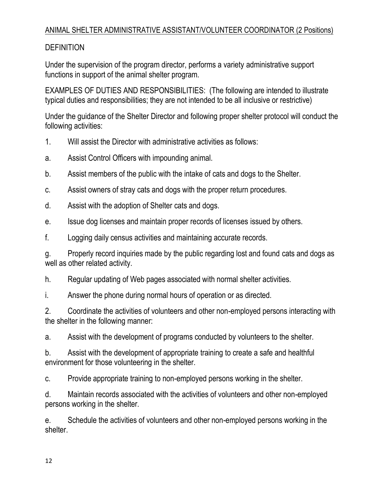#### ANIMAL SHELTER ADMINISTRATIVE ASSISTANT/VOLUNTEER COORDINATOR (2 Positions)

#### **DEFINITION**

Under the supervision of the program director, performs a variety administrative support functions in support of the animal shelter program.

EXAMPLES OF DUTIES AND RESPONSIBILITIES: (The following are intended to illustrate typical duties and responsibilities; they are not intended to be all inclusive or restrictive)

Under the guidance of the Shelter Director and following proper shelter protocol will conduct the following activities:

- 1. Will assist the Director with administrative activities as follows:
- a. Assist Control Officers with impounding animal.
- b. Assist members of the public with the intake of cats and dogs to the Shelter.
- c. Assist owners of stray cats and dogs with the proper return procedures.
- d. Assist with the adoption of Shelter cats and dogs.
- e. Issue dog licenses and maintain proper records of licenses issued by others.
- f. Logging daily census activities and maintaining accurate records.

g. Properly record inquiries made by the public regarding lost and found cats and dogs as well as other related activity.

h. Regular updating of Web pages associated with normal shelter activities.

i. Answer the phone during normal hours of operation or as directed.

2. Coordinate the activities of volunteers and other non-employed persons interacting with the shelter in the following manner:

a. Assist with the development of programs conducted by volunteers to the shelter.

b. Assist with the development of appropriate training to create a safe and healthful environment for those volunteering in the shelter.

c. Provide appropriate training to non-employed persons working in the shelter.

d. Maintain records associated with the activities of volunteers and other non-employed persons working in the shelter.

e. Schedule the activities of volunteers and other non-employed persons working in the shelter.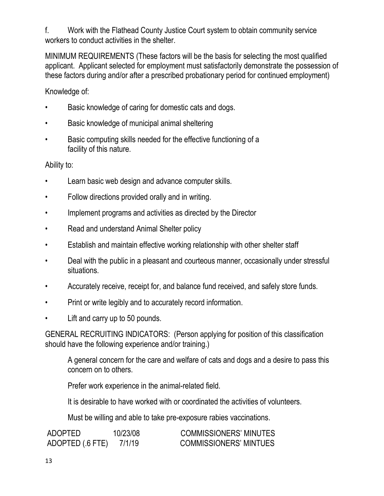f. Work with the Flathead County Justice Court system to obtain community service workers to conduct activities in the shelter.

MINIMUM REQUIREMENTS (These factors will be the basis for selecting the most qualified applicant. Applicant selected for employment must satisfactorily demonstrate the possession of these factors during and/or after a prescribed probationary period for continued employment)

Knowledge of:

- Basic knowledge of caring for domestic cats and dogs.
- Basic knowledge of municipal animal sheltering
- Basic computing skills needed for the effective functioning of a facility of this nature.

Ability to:

- Learn basic web design and advance computer skills.
- Follow directions provided orally and in writing.
- Implement programs and activities as directed by the Director
- Read and understand Animal Shelter policy
- Establish and maintain effective working relationship with other shelter staff
- Deal with the public in a pleasant and courteous manner, occasionally under stressful situations.
- Accurately receive, receipt for, and balance fund received, and safely store funds.
- Print or write legibly and to accurately record information.
- Lift and carry up to 50 pounds.

GENERAL RECRUITING INDICATORS: (Person applying for position of this classification should have the following experience and/or training.)

A general concern for the care and welfare of cats and dogs and a desire to pass this concern on to others.

Prefer work experience in the animal-related field.

It is desirable to have worked with or coordinated the activities of volunteers.

Must be willing and able to take pre-exposure rabies vaccinations.

| ADOPTED          | 10/23/08 | <b>COMMISSIONERS' MINUTES</b> |
|------------------|----------|-------------------------------|
| ADOPTED (.6 FTE) | 7/1/19   | <b>COMMISSIONERS' MINTUES</b> |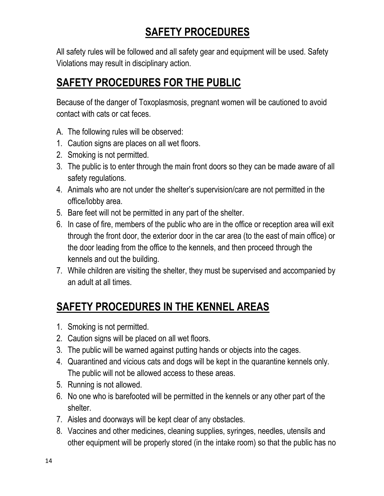# **SAFETY PROCEDURES**

All safety rules will be followed and all safety gear and equipment will be used. Safety Violations may result in disciplinary action.

## **SAFETY PROCEDURES FOR THE PUBLIC**

Because of the danger of Toxoplasmosis, pregnant women will be cautioned to avoid contact with cats or cat feces.

- A. The following rules will be observed:
- 1. Caution signs are places on all wet floors.
- 2. Smoking is not permitted.
- 3. The public is to enter through the main front doors so they can be made aware of all safety regulations.
- 4. Animals who are not under the shelter's supervision/care are not permitted in the office/lobby area.
- 5. Bare feet will not be permitted in any part of the shelter.
- 6. In case of fire, members of the public who are in the office or reception area will exit through the front door, the exterior door in the car area (to the east of main office) or the door leading from the office to the kennels, and then proceed through the kennels and out the building.
- 7. While children are visiting the shelter, they must be supervised and accompanied by an adult at all times.

# **SAFETY PROCEDURES IN THE KENNEL AREAS**

- 1. Smoking is not permitted.
- 2. Caution signs will be placed on all wet floors.
- 3. The public will be warned against putting hands or objects into the cages.
- 4. Quarantined and vicious cats and dogs will be kept in the quarantine kennels only. The public will not be allowed access to these areas.
- 5. Running is not allowed.
- 6. No one who is barefooted will be permitted in the kennels or any other part of the shelter.
- 7. Aisles and doorways will be kept clear of any obstacles.
- 8. Vaccines and other medicines, cleaning supplies, syringes, needles, utensils and other equipment will be properly stored (in the intake room) so that the public has no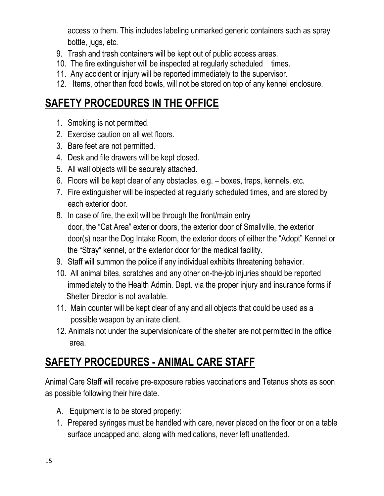access to them. This includes labeling unmarked generic containers such as spray bottle, jugs, etc.

- 9. Trash and trash containers will be kept out of public access areas.
- 10. The fire extinguisher will be inspected at regularly scheduled times.
- 11. Any accident or injury will be reported immediately to the supervisor.
- 12. Items, other than food bowls, will not be stored on top of any kennel enclosure.

# **SAFETY PROCEDURES IN THE OFFICE**

- 1. Smoking is not permitted.
- 2. Exercise caution on all wet floors.
- 3. Bare feet are not permitted.
- 4. Desk and file drawers will be kept closed.
- 5. All wall objects will be securely attached.
- 6. Floors will be kept clear of any obstacles, e.g. boxes, traps, kennels, etc.
- 7. Fire extinguisher will be inspected at regularly scheduled times, and are stored by each exterior door.
- 8. In case of fire, the exit will be through the front/main entry …..door, the "Cat Area" exterior doors, the exterior door of Smallville, the exterior door(s) near the Dog Intake Room, the exterior doors of either the "Adopt" Kennel or the "Stray" kennel, or the exterior door for the medical facility.
- 9. Staff will summon the police if any individual exhibits threatening behavior.
- 10. All animal bites, scratches and any other on-the-job injuries should be reported immediately to the Health Admin. Dept. via the proper injury and insurance forms if Shelter Director is not available.
- 11. Main counter will be kept clear of any and all objects that could be used as a possible weapon by an irate client.
- 12. Animals not under the supervision/care of the shelter are not permitted in the office area.

# **SAFETY PROCEDURES - ANIMAL CARE STAFF**

Animal Care Staff will receive pre-exposure rabies vaccinations and Tetanus shots as soon as possible following their hire date.

- A. Equipment is to be stored properly:
- 1. Prepared syringes must be handled with care, never placed on the floor or on a table surface uncapped and, along with medications, never left unattended.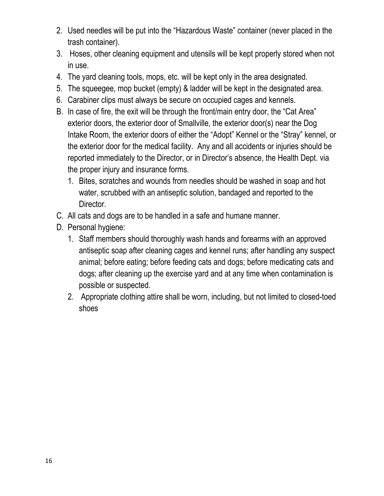- 2. Used needles will be put into the "Hazardous Waste" container (never placed in the trash container).
- 3. Hoses, other cleaning equipment and utensils will be kept properly stored when not in use.
- 4. The yard cleaning tools, mops, etc. will be kept only in the area designated.
- 5. The squeegee, mop bucket (empty) & ladder will be kept in the designated area.
- 6. Carabiner clips must always be secure on occupied cages and kennels.
- B. In case of fire, the exit will be through the front/main entry door, the "Cat Area" exterior doors, the exterior door of Smallville, the exterior door(s) near the Dog Intake Room, the exterior doors of either the "Adopt" Kennel or the "Stray" kennel, or the exterior door for the medical facility. Any and all accidents or injuries should be reported immediately to the Director, or in Director's absence, the Health Dept. via the proper injury and insurance forms.
	- 1. Bites, scratches and wounds from needles should be washed in soap and hot water, scrubbed with an antiseptic solution, bandaged and reported to the Director.
- C. All cats and dogs are to be handled in a safe and humane manner.
- D. Personal hygiene:
	- 1. Staff members should thoroughly wash hands and forearms with an approved antiseptic soap after cleaning cages and kennel runs; after handling any suspect animal; before eating; before feeding cats and dogs; before medicating cats and dogs; after cleaning up the exercise yard and at any time when contamination is possible or suspected.
	- 2. Appropriate clothing attire shall be worn, including, but not limited to closed-toed shoes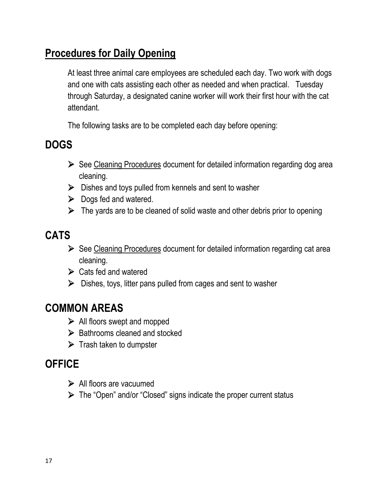## **Procedures for Daily Opening**

At least three animal care employees are scheduled each day. Two work with dogs and one with cats assisting each other as needed and when practical. Tuesday through Saturday, a designated canine worker will work their first hour with the cat attendant.

The following tasks are to be completed each day before opening:

## **DOGS**

- $\triangleright$  See Cleaning Procedures document for detailed information regarding dog area cleaning.
- $\triangleright$  Dishes and toys pulled from kennels and sent to washer
- $\triangleright$  Dogs fed and watered.
- $\triangleright$  The yards are to be cleaned of solid waste and other debris prior to opening

## **CATS**

- ➢ See Cleaning Procedures document for detailed information regarding cat area cleaning.
- $\triangleright$  Cats fed and watered
- $\triangleright$  Dishes, toys, litter pans pulled from cages and sent to washer

## **COMMON AREAS**

- ➢ All floors swept and mopped
- ➢ Bathrooms cleaned and stocked
- $\triangleright$  Trash taken to dumpster

## **OFFICE**

- ➢ All floors are vacuumed
- ➢ The "Open" and/or "Closed" signs indicate the proper current status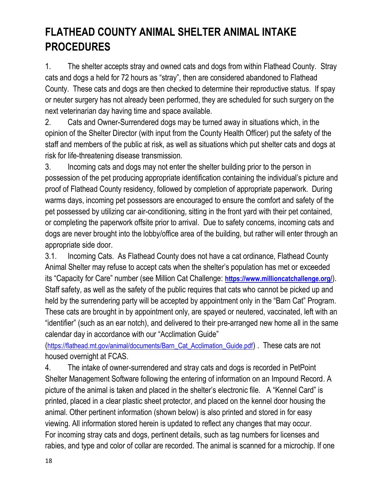# **FLATHEAD COUNTY ANIMAL SHELTER ANIMAL INTAKE PROCEDURES**

1. The shelter accepts stray and owned cats and dogs from within Flathead County. Stray cats and dogs a held for 72 hours as "stray", then are considered abandoned to Flathead County. These cats and dogs are then checked to determine their reproductive status. If spay or neuter surgery has not already been performed, they are scheduled for such surgery on the next veterinarian day having time and space available.

2. Cats and Owner-Surrendered dogs may be turned away in situations which, in the opinion of the Shelter Director (with input from the County Health Officer) put the safety of the staff and members of the public at risk, as well as situations which put shelter cats and dogs at risk for life-threatening disease transmission.

3. Incoming cats and dogs may not enter the shelter building prior to the person in possession of the pet producing appropriate identification containing the individual's picture and proof of Flathead County residency, followed by completion of appropriate paperwork. During warms days, incoming pet possessors are encouraged to ensure the comfort and safety of the pet possessed by utilizing car air-conditioning, sitting in the front yard with their pet contained, or completing the paperwork offsite prior to arrival. Due to safety concerns, incoming cats and dogs are never brought into the lobby/office area of the building, but rather will enter through an appropriate side door.

3.1. Incoming Cats. As Flathead County does not have a cat ordinance, Flathead County Animal Shelter may refuse to accept cats when the shelter's population has met or exceeded its "Capacity for Care" number (see Million Cat Challenge: **<https://www.millioncatchallenge.org/>**). Staff safety, as well as the safety of the public requires that cats who cannot be picked up and held by the surrendering party will be accepted by appointment only in the "Barn Cat" Program. These cats are brought in by appointment only, are spayed or neutered, vaccinated, left with an "identifier" (such as an ear notch), and delivered to their pre-arranged new home all in the same calendar day in accordance with our "Acclimation Guide"

([https://flathead.mt.gov/animal/documents/Barn\\_Cat\\_Acclimation\\_Guide.pdf](https://flathead.mt.gov/animal/documents/Barn_Cat_Acclimation_Guide.pdf)) . These cats are not housed overnight at FCAS.

4. The intake of owner-surrendered and stray cats and dogs is recorded in PetPoint Shelter Management Software following the entering of information on an Impound Record. A picture of the animal is taken and placed in the shelter's electronic file. A "Kennel Card" is printed, placed in a clear plastic sheet protector, and placed on the kennel door housing the animal. Other pertinent information (shown below) is also printed and stored in for easy viewing. All information stored herein is updated to reflect any changes that may occur. For incoming stray cats and dogs, pertinent details, such as tag numbers for licenses and rabies, and type and color of collar are recorded. The animal is scanned for a microchip. If one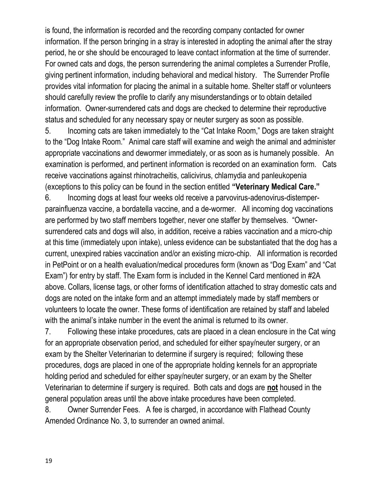is found, the information is recorded and the recording company contacted for owner information. If the person bringing in a stray is interested in adopting the animal after the stray period, he or she should be encouraged to leave contact information at the time of surrender. For owned cats and dogs, the person surrendering the animal completes a Surrender Profile, giving pertinent information, including behavioral and medical history. The Surrender Profile provides vital information for placing the animal in a suitable home. Shelter staff or volunteers should carefully review the profile to clarify any misunderstandings or to obtain detailed information. Owner-surrendered cats and dogs are checked to determine their reproductive status and scheduled for any necessary spay or neuter surgery as soon as possible.

5. Incoming cats are taken immediately to the "Cat Intake Room," Dogs are taken straight to the "Dog Intake Room." Animal care staff will examine and weigh the animal and administer appropriate vaccinations and dewormer immediately, or as soon as is humanely possible. An examination is performed, and pertinent information is recorded on an examination form. Cats receive vaccinations against rhinotracheitis, calicivirus, chlamydia and panleukopenia (exceptions to this policy can be found in the section entitled **"Veterinary Medical Care."**

6. Incoming dogs at least four weeks old receive a parvovirus-adenovirus-distemperparainfluenza vaccine, a bordatella vaccine, and a de-wormer. All incoming dog vaccinations are performed by two staff members together, never one staffer by themselves. "Ownersurrendered cats and dogs will also, in addition, receive a rabies vaccination and a micro-chip at this time (immediately upon intake), unless evidence can be substantiated that the dog has a current, unexpired rabies vaccination and/or an existing micro-chip. All information is recorded in PetPoint or on a health evaluation/medical procedures form (known as "Dog Exam" and "Cat Exam") for entry by staff. The Exam form is included in the Kennel Card mentioned in #2A above. Collars, license tags, or other forms of identification attached to stray domestic cats and dogs are noted on the intake form and an attempt immediately made by staff members or volunteers to locate the owner. These forms of identification are retained by staff and labeled with the animal's intake number in the event the animal is returned to its owner.

7.... Following these intake procedures, cats are placed in a clean enclosure in the Cat wing for an appropriate observation period, and scheduled for either spay/neuter surgery, or an exam by the Shelter Veterinarian to determine if surgery is required; following these procedures, dogs are placed in one of the appropriate holding kennels for an appropriate holding period and scheduled for either spay/neuter surgery, or an exam by the Shelter Veterinarian to determine if surgery is required. Both cats and dogs are **not** housed in the general population areas until the above intake procedures have been completed.

8. Owner Surrender Fees. A fee is charged, in accordance with Flathead County Amended Ordinance No. 3, to surrender an owned animal.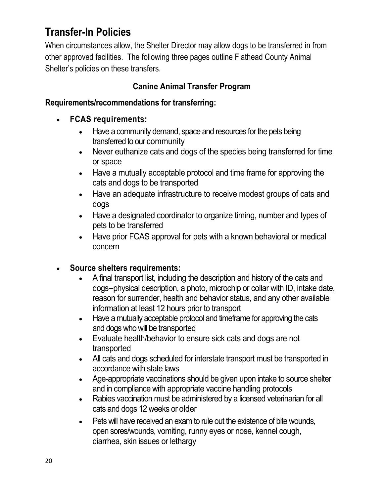# **Transfer-In Policies**

When circumstances allow, the Shelter Director may allow dogs to be transferred in from other approved facilities. The following three pages outline Flathead County Animal Shelter's policies on these transfers.

#### **Canine Animal Transfer Program**

#### **Requirements/recommendations for transferring:**

- **FCAS requirements:**
	- Have a community demand, space and resources for the pets being transferred to our community
	- Never euthanize cats and dogs of the species being transferred for time or space
	- Have a mutually acceptable protocol and time frame for approving the cats and dogs to be transported
	- Have an adequate infrastructure to receive modest groups of cats and dogs
	- Have a designated coordinator to organize timing, number and types of pets to be transferred
	- Have prior FCAS approval for pets with a known behavioral or medical concern

#### • **Source shelters requirements:**

- A final transport list, including the description and history of the cats and dogs--physical description, a photo, microchip or collar with ID, intake date, reason for surrender, health and behavior status, and any other available information at least 12 hours prior to transport
- Have a mutually acceptable protocol and timeframe for approving the cats and dogswho will be transported
- Evaluate health/behavior to ensure sick cats and dogs are not transported
- All cats and dogs scheduled for interstate transport must be transported in accordance with state laws
- Age-appropriate vaccinations should be given upon intake to source shelter and in compliance with appropriate vaccine handling protocols
- Rabies vaccination must be administered by a licensed veterinarian for all cats and dogs 12 weeks or older
- Pets will have received an exam to rule out the existence of bite wounds, open sores/wounds, vomiting, runny eyes or nose, kennel cough, diarrhea, skin issues or lethargy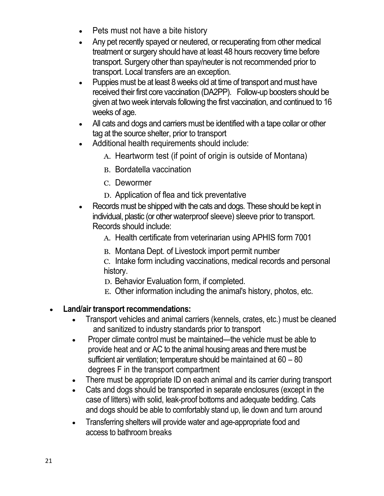- Pets must not have a bite history
- Any pet recently spayed or neutered, or recuperating from other medical treatment or surgery should have at least 48 hours recovery time before transport. Surgery other than spay/neuter is not recommended prior to transport. Local transfers are an exception.
- Puppies must be at least 8 weeks old at time of transport and must have received their first core vaccination (DA2PP). Follow-up boosters should be given at two week intervals following the first vaccination, and continued to 16 weeks of age.
- All cats and dogs and carriers must be identified with a tape collar or other tag at the source shelter, prior to transport
- Additional health requirements should include:
	- A. Heartworm test (if point of origin is outside of Montana)
	- B. Bordatella vaccination
	- C. Dewormer
	- D. Application of flea and tick preventative
- Records must be shipped with the cats and dogs. These should be kept in individual, plastic (or other waterproof sleeve) sleeve prior to transport. Records should include:
	- A. Health certificate from veterinarian using APHIS form 7001
	- B. Montana Dept. of Livestock import permit number

C. Intake form including vaccinations, medical records and personal history.

- D. Behavior Evaluation form, if completed.
- E. Other information including the animal's history, photos, etc.

#### • **Land/air transport recommendations:**

- Transport vehicles and animal carriers (kennels, crates, etc.) must be cleaned and sanitized to industry standards prior to transport
- Proper climate control must be maintained—the vehicle must be able to provide heat and or AC to the animal housing areas and there must be sufficient air ventilation; temperature should be maintained at 60 – 80 degrees F in the transport compartment
- There must be appropriate ID on each animal and its carrier during transport
- Cats and dogs should be transported in separate enclosures (except in the case of litters) with solid, leak-proof bottoms and adequate bedding. Cats and dogs should be able to comfortably stand up, lie down and turn around
- Transferring shelters will provide water and age-appropriate food and access to bathroom breaks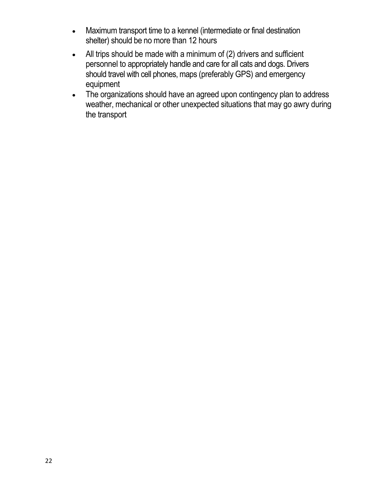- Maximum transport time to a kennel (intermediate or final destination shelter) should be no more than 12 hours
- All trips should be made with a minimum of (2) drivers and sufficient personnel to appropriately handle and care for all cats and dogs. Drivers should travel with cell phones, maps (preferably GPS) and emergency equipment
- The organizations should have an agreed upon contingency plan to address weather, mechanical or other unexpected situations that may go awry during the transport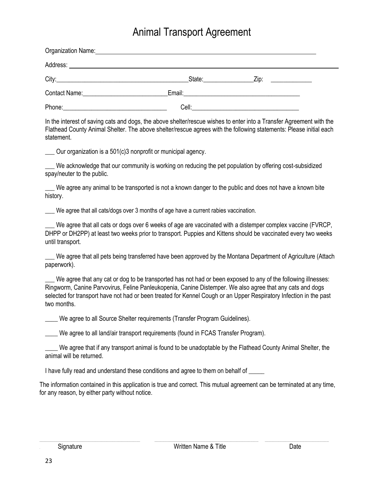## Animal Transport Agreement

| Organization Name: <u>contract and a series of the series of the series of the series of the series of the series of</u> |                        |  |
|--------------------------------------------------------------------------------------------------------------------------|------------------------|--|
|                                                                                                                          |                        |  |
|                                                                                                                          | State: $\frac{Zip}{i}$ |  |
| Contact Name: Manual Manual Manual Manual Manual Manual Manual Manual Manual Manual Manual Manual Manual Manua           |                        |  |
|                                                                                                                          |                        |  |

In the interest of saving cats and dogs, the above shelter/rescue wishes to enter into a Transfer Agreement with the Flathead County Animal Shelter. The above shelter/rescue agrees with the following statements: Please initial each statement.

\_\_\_ Our organization is a 501(c)3 nonprofit or municipal agency.

\_\_\_ We acknowledge that our community is working on reducing the pet population by offering cost-subsidized spay/neuter to the public.

We agree any animal to be transported is not a known danger to the public and does not have a known bite history.

We agree that all cats/dogs over 3 months of age have a current rabies vaccination.

We agree that all cats or dogs over 6 weeks of age are vaccinated with a distemper complex vaccine (FVRCP, DHPP or DH2PP) at least two weeks prior to transport. Puppies and Kittens should be vaccinated every two weeks until transport.

\_\_\_ We agree that all pets being transferred have been approved by the Montana Department of Agriculture (Attach paperwork).

We agree that any cat or dog to be transported has not had or been exposed to any of the following illnesses: Ringworm, Canine Parvovirus, Feline Panleukopenia, Canine Distemper. We also agree that any cats and dogs selected for transport have not had or been treated for Kennel Cough or an Upper Respiratory Infection in the past two months.

We agree to all Source Shelter requirements (Transfer Program Guidelines).

\_\_\_\_ We agree to all land/air transport requirements (found in FCAS Transfer Program).

\_\_\_\_ We agree that if any transport animal is found to be unadoptable by the Flathead County Animal Shelter, the animal will be returned.

I have fully read and understand these conditions and agree to them on behalf of

The information contained in this application is true and correct. This mutual agreement can be terminated at any time, for any reason, by either party without notice.

\_\_\_\_\_\_\_\_\_\_\_\_\_\_\_\_\_\_\_\_\_\_\_\_\_\_\_\_\_\_\_\_\_\_\_\_\_\_\_\_\_\_\_\_\_\_\_\_\_\_\_\_\_\_\_\_\_\_\_\_\_\_\_\_\_\_\_\_\_\_\_\_\_\_\_\_\_\_\_\_\_\_\_\_\_\_\_\_ \_\_\_\_\_\_\_\_\_\_\_\_\_\_\_\_\_\_\_\_\_\_\_\_\_\_\_\_\_\_\_\_\_\_\_\_\_\_\_\_\_\_\_\_\_\_\_\_\_\_\_\_\_\_\_\_\_\_\_\_\_\_\_\_\_\_\_\_\_\_\_\_\_\_\_\_\_\_\_\_\_\_\_\_\_\_\_\_\_\_\_ \_\_\_\_\_\_\_\_\_\_\_\_\_\_\_\_\_\_\_\_\_\_\_\_\_\_\_\_\_\_\_\_\_\_\_\_\_\_\_\_\_\_\_\_\_\_\_\_\_\_\_\_\_\_\_\_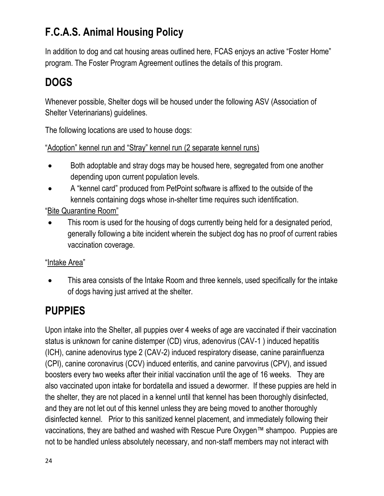# **F.C.A.S. Animal Housing Policy**

In addition to dog and cat housing areas outlined here, FCAS enjoys an active "Foster Home" program. The Foster Program Agreement outlines the details of this program.

# **DOGS**

Whenever possible, Shelter dogs will be housed under the following ASV (Association of Shelter Veterinarians) guidelines.

The following locations are used to house dogs:

"Adoption" kennel run and "Stray" kennel run (2 separate kennel runs)

- Both adoptable and stray dogs may be housed here, segregated from one another depending upon current population levels.
- A "kennel card" produced from PetPoint software is affixed to the outside of the kennels containing dogs whose in-shelter time requires such identification.

"Bite Quarantine Room"

This room is used for the housing of dogs currently being held for a designated period, generally following a bite incident wherein the subject dog has no proof of current rabies vaccination coverage.

#### "Intake Area"

• This area consists of the Intake Room and three kennels, used specifically for the intake of dogs having just arrived at the shelter.

# **PUPPIES**

Upon intake into the Shelter, all puppies over 4 weeks of age are vaccinated if their vaccination status is unknown for canine distemper (CD) virus, adenovirus (CAV-1 ) induced hepatitis (ICH), canine adenovirus type 2 (CAV-2) induced respiratory disease, canine parainfluenza (CPI), canine coronavirus (CCV) induced enteritis, and canine parvovirus (CPV), and issued boosters every two weeks after their initial vaccination until the age of 16 weeks. They are also vaccinated upon intake for bordatella and issued a dewormer. If these puppies are held in the shelter, they are not placed in a kennel until that kennel has been thoroughly disinfected, and they are not let out of this kennel unless they are being moved to another thoroughly disinfected kennel. Prior to this sanitized kennel placement, and immediately following their vaccinations, they are bathed and washed with Rescue Pure Oxygen™ shampoo. Puppies are not to be handled unless absolutely necessary, and non-staff members may not interact with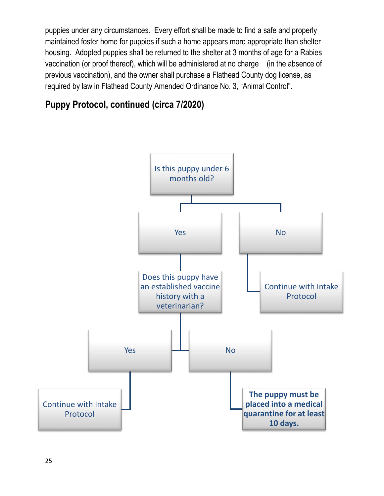puppies under any circumstances. Every effort shall be made to find a safe and properly maintained foster home for puppies if such a home appears more appropriate than shelter housing. Adopted puppies shall be returned to the shelter at 3 months of age for a Rabies vaccination (or proof thereof), which will be administered at no charge (in the absence of previous vaccination), and the owner shall purchase a Flathead County dog license, as required by law in Flathead County Amended Ordinance No. 3, "Animal Control".

**Puppy Protocol, continued (circa 7/2020)**

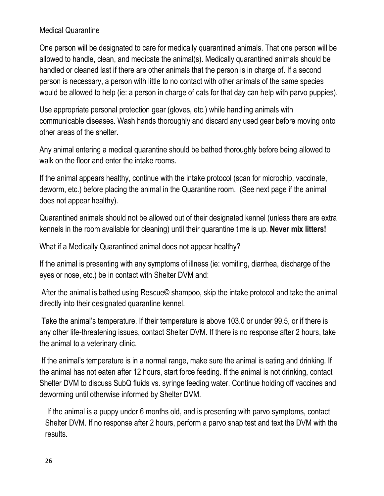#### Medical Quarantine

One person will be designated to care for medically quarantined animals. That one person will be allowed to handle, clean, and medicate the animal(s). Medically quarantined animals should be handled or cleaned last if there are other animals that the person is in charge of. If a second person is necessary, a person with little to no contact with other animals of the same species would be allowed to help (ie: a person in charge of cats for that day can help with parvo puppies).

Use appropriate personal protection gear (gloves, etc.) while handling animals with communicable diseases. Wash hands thoroughly and discard any used gear before moving onto other areas of the shelter.

Any animal entering a medical quarantine should be bathed thoroughly before being allowed to walk on the floor and enter the intake rooms.

If the animal appears healthy, continue with the intake protocol (scan for microchip, vaccinate, deworm, etc.) before placing the animal in the Quarantine room. (See next page if the animal does not appear healthy).

Quarantined animals should not be allowed out of their designated kennel (unless there are extra kennels in the room available for cleaning) until their quarantine time is up. **Never mix litters!**

What if a Medically Quarantined animal does not appear healthy?

If the animal is presenting with any symptoms of illness (ie: vomiting, diarrhea, discharge of the eyes or nose, etc.) be in contact with Shelter DVM and:

After the animal is bathed using Rescue© shampoo, skip the intake protocol and take the animal directly into their designated quarantine kennel.

Take the animal's temperature. If their temperature is above 103.0 or under 99.5, or if there is any other life-threatening issues, contact Shelter DVM. If there is no response after 2 hours, take the animal to a veterinary clinic.

If the animal's temperature is in a normal range, make sure the animal is eating and drinking. If the animal has not eaten after 12 hours, start force feeding. If the animal is not drinking, contact Shelter DVM to discuss SubQ fluids vs. syringe feeding water. Continue holding off vaccines and deworming until otherwise informed by Shelter DVM.

If the animal is a puppy under 6 months old, and is presenting with parvo symptoms, contact Shelter DVM. If no response after 2 hours, perform a parvo snap test and text the DVM with the results.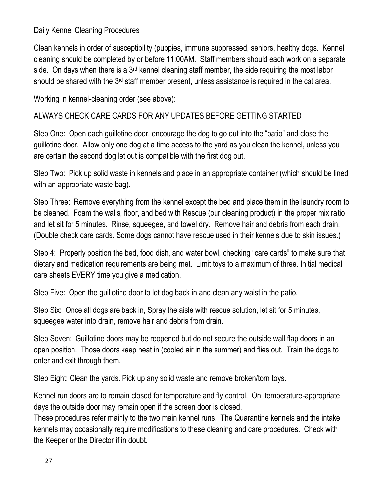#### Daily Kennel Cleaning Procedures

Clean kennels in order of susceptibility (puppies, immune suppressed, seniors, healthy dogs. Kennel cleaning should be completed by or before 11:00AM. Staff members should each work on a separate side. On days when there is a  $3<sup>rd</sup>$  kennel cleaning staff member, the side requiring the most labor should be shared with the 3<sup>rd</sup> staff member present, unless assistance is required in the cat area.

Working in kennel-cleaning order (see above):

#### ALWAYS CHECK CARE CARDS FOR ANY UPDATES BEFORE GETTING STARTED

Step One: Open each guillotine door, encourage the dog to go out into the "patio" and close the guillotine door. Allow only one dog at a time access to the yard as you clean the kennel, unless you are certain the second dog let out is compatible with the first dog out.

Step Two: Pick up solid waste in kennels and place in an appropriate container (which should be lined with an appropriate waste bag).

Step Three: Remove everything from the kennel except the bed and place them in the laundry room to be cleaned. Foam the walls, floor, and bed with Rescue (our cleaning product) in the proper mix ratio and let sit for 5 minutes. Rinse, squeegee, and towel dry. Remove hair and debris from each drain. (Double check care cards. Some dogs cannot have rescue used in their kennels due to skin issues.)

Step 4: Properly position the bed, food dish, and water bowl, checking "care cards" to make sure that dietary and medication requirements are being met. Limit toys to a maximum of three. Initial medical care sheets EVERY time you give a medication.

Step Five: Open the guillotine door to let dog back in and clean any waist in the patio.

Step Six: Once all dogs are back in, Spray the aisle with rescue solution, let sit for 5 minutes, squeegee water into drain, remove hair and debris from drain.

Step Seven: Guillotine doors may be reopened but do not secure the outside wall flap doors in an open position. Those doors keep heat in (cooled air in the summer) and flies out. Train the dogs to enter and exit through them.

Step Eight: Clean the yards. Pick up any solid waste and remove broken/torn toys.

Kennel run doors are to remain closed for temperature and fly control. On temperature-appropriate days the outside door may remain open if the screen door is closed.

These procedures refer mainly to the two main kennel runs. The Quarantine kennels and the intake kennels may occasionally require modifications to these cleaning and care procedures. Check with the Keeper or the Director if in doubt.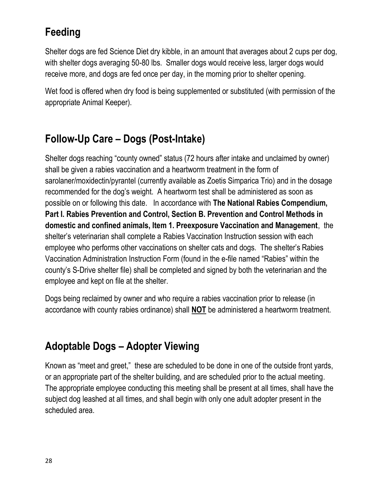# **Feeding**

Shelter dogs are fed Science Diet dry kibble, in an amount that averages about 2 cups per dog, with shelter dogs averaging 50-80 lbs. Smaller dogs would receive less, larger dogs would receive more, and dogs are fed once per day, in the morning prior to shelter opening.

Wet food is offered when dry food is being supplemented or substituted (with permission of the appropriate Animal Keeper).

## **Follow-Up Care – Dogs (Post-Intake)**

Shelter dogs reaching "county owned" status (72 hours after intake and unclaimed by owner) shall be given a rabies vaccination and a heartworm treatment in the form of sarolaner/moxidectin/pyrantel (currently available as Zoetis Simparica Trio) and in the dosage recommended for the dog's weight. A heartworm test shall be administered as soon as possible on or following this date. In accordance with **The National Rabies Compendium, Part I. Rabies Prevention and Control, Section B. Prevention and Control Methods in domestic and confined animals, Item 1. Preexposure Vaccination and Management**, the shelter's veterinarian shall complete a Rabies Vaccination Instruction session with each employee who performs other vaccinations on shelter cats and dogs. The shelter's Rabies Vaccination Administration Instruction Form (found in the e-file named "Rabies" within the county's S-Drive shelter file) shall be completed and signed by both the veterinarian and the employee and kept on file at the shelter.

Dogs being reclaimed by owner and who require a rabies vaccination prior to release (in accordance with county rabies ordinance) shall **NOT** be administered a heartworm treatment.

### **Adoptable Dogs – Adopter Viewing**

Known as "meet and greet," these are scheduled to be done in one of the outside front yards, or an appropriate part of the shelter building, and are scheduled prior to the actual meeting. The appropriate employee conducting this meeting shall be present at all times, shall have the subject dog leashed at all times, and shall begin with only one adult adopter present in the scheduled area.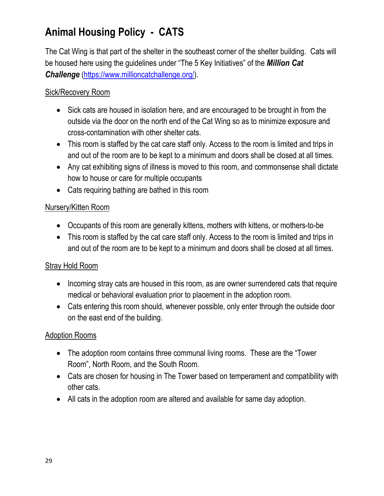# **Animal Housing Policy - CATS**

The Cat Wing is that part of the shelter in the southeast corner of the shelter building. Cats will be housed here using the guidelines under "The 5 Key Initiatives" of the *Million Cat Challenge* [\(https://www.millioncatchallenge.org/\)](https://www.millioncatchallenge.org/).

#### Sick/Recovery Room

- Sick cats are housed in isolation here, and are encouraged to be brought in from the outside via the door on the north end of the Cat Wing so as to minimize exposure and cross-contamination with other shelter cats.
- This room is staffed by the cat care staff only. Access to the room is limited and trips in and out of the room are to be kept to a minimum and doors shall be closed at all times.
- Any cat exhibiting signs of illness is moved to this room, and commonsense shall dictate how to house or care for multiple occupants
- Cats requiring bathing are bathed in this room

#### Nursery/Kitten Room

- Occupants of this room are generally kittens, mothers with kittens, or mothers-to-be
- This room is staffed by the cat care staff only. Access to the room is limited and trips in and out of the room are to be kept to a minimum and doors shall be closed at all times.

#### Stray Hold Room

- Incoming stray cats are housed in this room, as are owner surrendered cats that require medical or behavioral evaluation prior to placement in the adoption room.
- Cats entering this room should, whenever possible, only enter through the outside door on the east end of the building.

#### Adoption Rooms

- The adoption room contains three communal living rooms. These are the "Tower Room", North Room, and the South Room.
- Cats are chosen for housing in The Tower based on temperament and compatibility with other cats.
- All cats in the adoption room are altered and available for same day adoption.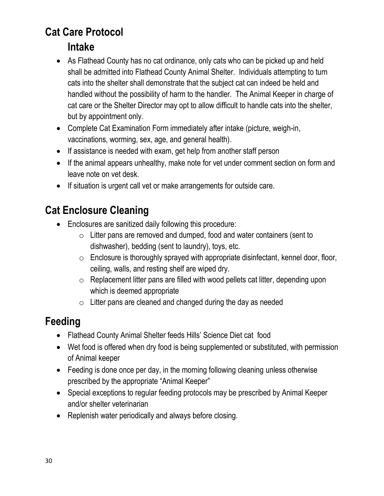# **Cat Care Protocol**

## **Intake**

- As Flathead County has no cat ordinance, only cats who can be picked up and held shall be admitted into Flathead County Animal Shelter. Individuals attempting to turn cats into the shelter shall demonstrate that the subject cat can indeed be held and handled without the possibility of harm to the handler. The Animal Keeper in charge of cat care or the Shelter Director may opt to allow difficult to handle cats into the shelter, but by appointment only.
- Complete Cat Examination Form immediately after intake (picture, weigh-in, vaccinations, worming, sex, age, and general health).
- If assistance is needed with exam, get help from another staff person
- If the animal appears unhealthy, make note for vet under comment section on form and leave note on vet desk.
- If situation is urgent call vet or make arrangements for outside care.

# **Cat Enclosure Cleaning**

- Enclosures are sanitized daily following this procedure:
	- $\circ$  Litter pans are removed and dumped, food and water containers (sent to dishwasher), bedding (sent to laundry), toys, etc.
	- $\circ$  Enclosure is thoroughly sprayed with appropriate disinfectant, kennel door, floor, ceiling, walls, and resting shelf are wiped dry.
	- $\circ$  Replacement litter pans are filled with wood pellets cat litter, depending upon which is deemed appropriate
	- $\circ$  Litter pans are cleaned and changed during the day as needed

# **Feeding**

- Flathead County Animal Shelter feeds Hills' Science Diet cat food
- Wet food is offered when dry food is being supplemented or substituted, with permission of Animal keeper
- Feeding is done once per day, in the morning following cleaning unless otherwise prescribed by the appropriate "Animal Keeper"
- Special exceptions to regular feeding protocols may be prescribed by Animal Keeper and/or shelter veterinarian
- Replenish water periodically and always before closing.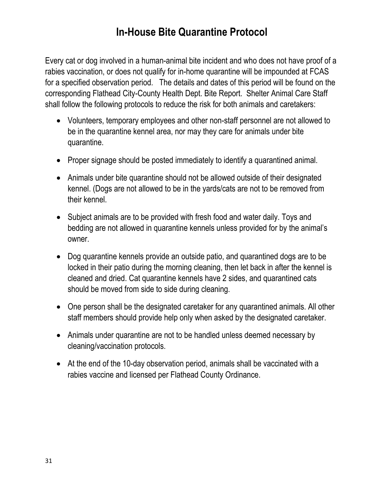## **In-House Bite Quarantine Protocol**

Every cat or dog involved in a human-animal bite incident and who does not have proof of a rabies vaccination, or does not qualify for in-home quarantine will be impounded at FCAS for a specified observation period. The details and dates of this period will be found on the corresponding Flathead City-County Health Dept. Bite Report. Shelter Animal Care Staff shall follow the following protocols to reduce the risk for both animals and caretakers:

- Volunteers, temporary employees and other non-staff personnel are not allowed to be in the quarantine kennel area, nor may they care for animals under bite quarantine.
- Proper signage should be posted immediately to identify a quarantined animal.
- Animals under bite quarantine should not be allowed outside of their designated kennel. (Dogs are not allowed to be in the yards/cats are not to be removed from their kennel.
- Subject animals are to be provided with fresh food and water daily. Toys and bedding are not allowed in quarantine kennels unless provided for by the animal's owner.
- Dog quarantine kennels provide an outside patio, and quarantined dogs are to be locked in their patio during the morning cleaning, then let back in after the kennel is cleaned and dried. Cat quarantine kennels have 2 sides, and quarantined cats should be moved from side to side during cleaning.
- One person shall be the designated caretaker for any quarantined animals. All other staff members should provide help only when asked by the designated caretaker.
- Animals under quarantine are not to be handled unless deemed necessary by cleaning/vaccination protocols.
- At the end of the 10-day observation period, animals shall be vaccinated with a rabies vaccine and licensed per Flathead County Ordinance.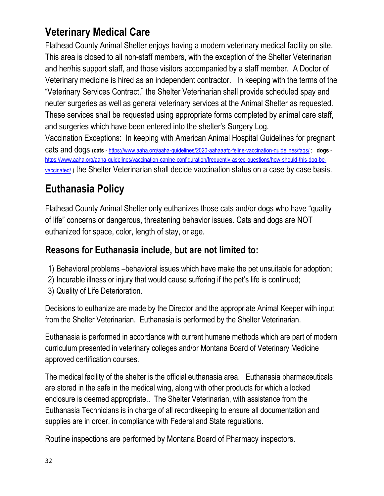# **Veterinary Medical Care**

Flathead County Animal Shelter enjoys having a modern veterinary medical facility on site. This area is closed to all non-staff members, with the exception of the Shelter Veterinarian and her/his support staff, and those visitors accompanied by a staff member. A Doctor of Veterinary medicine is hired as an independent contractor. In keeping with the terms of the "Veterinary Services Contract," the Shelter Veterinarian shall provide scheduled spay and neuter surgeries as well as general veterinary services at the Animal Shelter as requested. These services shall be requested using appropriate forms completed by animal care staff, and surgeries which have been entered into the shelter's Surgery Log.

Vaccination Exceptions: In keeping with American Animal Hospital Guidelines for pregnant cats and dogs (**cats** - <https://www.aaha.org/aaha-guidelines/2020-aahaaafp-feline-vaccination-guidelines/faqs/> ; **dogs**  [https://www.aaha.org/aaha-guidelines/vaccination-canine-configuration/frequently-asked-questions/how-should-this-dog-be](https://www.aaha.org/aaha-guidelines/vaccination-canine-configuration/frequently-asked-questions/how-should-this-dog-be-vaccinated/)[vaccinated/](https://www.aaha.org/aaha-guidelines/vaccination-canine-configuration/frequently-asked-questions/how-should-this-dog-be-vaccinated/)) the Shelter Veterinarian shall decide vaccination status on a case by case basis.

# **Euthanasia Policy**

Flathead County Animal Shelter only euthanizes those cats and/or dogs who have "quality of life" concerns or dangerous, threatening behavior issues. Cats and dogs are NOT euthanized for space, color, length of stay, or age.

#### **Reasons for Euthanasia include, but are not limited to:**

- 1) Behavioral problems –behavioral issues which have make the pet unsuitable for adoption;
- 2) Incurable illness or injury that would cause suffering if the pet's life is continued;
- 3) Quality of Life Deterioration.

Decisions to euthanize are made by the Director and the appropriate Animal Keeper with input from the Shelter Veterinarian. Euthanasia is performed by the Shelter Veterinarian.

Euthanasia is performed in accordance with current humane methods which are part of modern curriculum presented in veterinary colleges and/or Montana Board of Veterinary Medicine approved certification courses.

The medical facility of the shelter is the official euthanasia area. Euthanasia pharmaceuticals are stored in the safe in the medical wing, along with other products for which a locked enclosure is deemed appropriate.. The Shelter Veterinarian, with assistance from the Euthanasia Technicians is in charge of all recordkeeping to ensure all documentation and supplies are in order, in compliance with Federal and State regulations.

Routine inspections are performed by Montana Board of Pharmacy inspectors.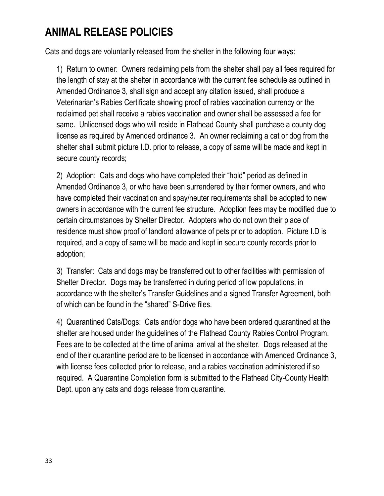# **ANIMAL RELEASE POLICIES**

Cats and dogs are voluntarily released from the shelter in the following four ways:

1) Return to owner: Owners reclaiming pets from the shelter shall pay all fees required for the length of stay at the shelter in accordance with the current fee schedule as outlined in Amended Ordinance 3, shall sign and accept any citation issued, shall produce a Veterinarian's Rabies Certificate showing proof of rabies vaccination currency or the reclaimed pet shall receive a rabies vaccination and owner shall be assessed a fee for same. Unlicensed dogs who will reside in Flathead County shall purchase a county dog license as required by Amended ordinance 3. An owner reclaiming a cat or dog from the shelter shall submit picture I.D. prior to release, a copy of same will be made and kept in secure county records;

2) Adoption: Cats and dogs who have completed their "hold" period as defined in Amended Ordinance 3, or who have been surrendered by their former owners, and who have completed their vaccination and spay/neuter requirements shall be adopted to new owners in accordance with the current fee structure. Adoption fees may be modified due to certain circumstances by Shelter Director. Adopters who do not own their place of residence must show proof of landlord allowance of pets prior to adoption. Picture I.D is required, and a copy of same will be made and kept in secure county records prior to adoption;

3) Transfer: Cats and dogs may be transferred out to other facilities with permission of Shelter Director. Dogs may be transferred in during period of low populations, in accordance with the shelter's Transfer Guidelines and a signed Transfer Agreement, both of which can be found in the "shared" S-Drive files.

4) Quarantined Cats/Dogs: Cats and/or dogs who have been ordered quarantined at the shelter are housed under the guidelines of the Flathead County Rabies Control Program. Fees are to be collected at the time of animal arrival at the shelter. Dogs released at the end of their quarantine period are to be licensed in accordance with Amended Ordinance 3, with license fees collected prior to release, and a rabies vaccination administered if so required. A Quarantine Completion form is submitted to the Flathead City-County Health Dept. upon any cats and dogs release from quarantine.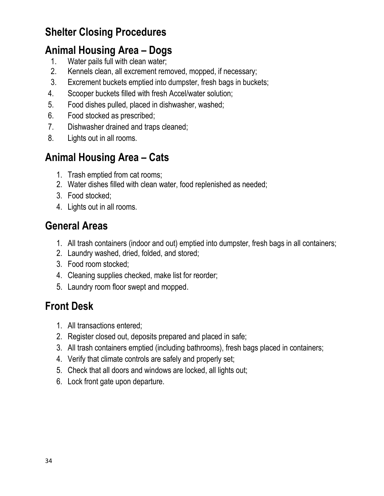# **Shelter Closing Procedures**

## **Animal Housing Area – Dogs**

- 1. Water pails full with clean water;
- 2. Kennels clean, all excrement removed, mopped, if necessary;
- 3. Excrement buckets emptied into dumpster, fresh bags in buckets;
- 4. Scooper buckets filled with fresh Accel/water solution;
- 5. Food dishes pulled, placed in dishwasher, washed;
- 6. Food stocked as prescribed;
- 7. Dishwasher drained and traps cleaned;
- 8. Lights out in all rooms.

# **Animal Housing Area – Cats**

- 1. Trash emptied from cat rooms;
- 2. Water dishes filled with clean water, food replenished as needed;
- 3. Food stocked;
- 4. Lights out in all rooms.

# **General Areas**

- 1. All trash containers (indoor and out) emptied into dumpster, fresh bags in all containers;
- 2. Laundry washed, dried, folded, and stored;
- 3. Food room stocked;
- 4. Cleaning supplies checked, make list for reorder;
- 5. Laundry room floor swept and mopped.

## **Front Desk**

- 1. All transactions entered;
- 2. Register closed out, deposits prepared and placed in safe;
- 3. All trash containers emptied (including bathrooms), fresh bags placed in containers;
- 4. Verify that climate controls are safely and properly set;
- 5. Check that all doors and windows are locked, all lights out;
- 6. Lock front gate upon departure.